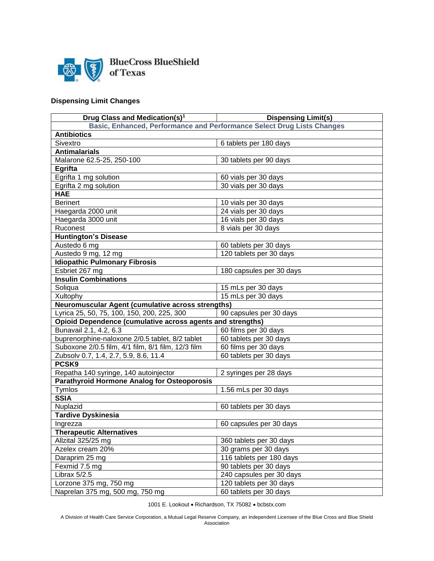

## **Dispensing Limit Changes**

| Drug Class and Medication(s) <sup>1</sup>                              | <b>Dispensing Limit(s)</b> |
|------------------------------------------------------------------------|----------------------------|
| Basic, Enhanced, Performance and Performance Select Drug Lists Changes |                            |
| <b>Antibiotics</b>                                                     |                            |
| Sivextro                                                               | 6 tablets per 180 days     |
| <b>Antimalarials</b>                                                   |                            |
| Malarone 62.5-25, 250-100                                              | 30 tablets per 90 days     |
| Egrifta                                                                |                            |
| Egrifta 1 mg solution                                                  | 60 vials per 30 days       |
| Egrifta 2 mg solution                                                  | 30 vials per 30 days       |
| <b>HAE</b>                                                             |                            |
| <b>Berinert</b>                                                        | 10 vials per 30 days       |
| Haegarda 2000 unit                                                     | 24 vials per 30 days       |
| Haegarda 3000 unit                                                     | 16 vials per 30 days       |
| Ruconest                                                               | 8 vials per 30 days        |
| <b>Huntington's Disease</b>                                            |                            |
| Austedo 6 mg                                                           | 60 tablets per 30 days     |
| Austedo 9 mg, 12 mg                                                    | 120 tablets per 30 days    |
| <b>Idiopathic Pulmonary Fibrosis</b>                                   |                            |
| Esbriet 267 mg                                                         | 180 capsules per 30 days   |
| <b>Insulin Combinations</b>                                            |                            |
| Soliqua                                                                | 15 mLs per 30 days         |
| Xultophy                                                               | 15 mLs per 30 days         |
| Neuromuscular Agent (cumulative across strengths)                      |                            |
| Lyrica 25, 50, 75, 100, 150, 200, 225, 300                             | 90 capsules per 30 days    |
| Opioid Dependence (cumulative across agents and strengths)             |                            |
| Bunavail 2.1, 4.2, 6.3                                                 | 60 films per 30 days       |
| buprenorphine-naloxone 2/0.5 tablet, 8/2 tablet                        | 60 tablets per 30 days     |
| Suboxone 2/0.5 film, 4/1 film, 8/1 film, 12/3 film                     | 60 films per 30 days       |
| Zubsolv 0.7, 1.4, 2.7, 5.9, 8.6, 11.4                                  | 60 tablets per 30 days     |
| PCSK9                                                                  |                            |
| Repatha 140 syringe, 140 autoinjector                                  | 2 syringes per 28 days     |
| <b>Parathyroid Hormone Analog for Osteoporosis</b>                     |                            |
| Tymlos                                                                 | 1.56 mLs per 30 days       |
| <b>SSIA</b>                                                            |                            |
| Nuplazid                                                               | 60 tablets per 30 days     |
| <b>Tardive Dyskinesia</b>                                              |                            |
| Ingrezza                                                               | 60 capsules per 30 days    |
| <b>Therapeutic Alternatives</b>                                        |                            |
| Allzital 325/25 mg                                                     | 360 tablets per 30 days    |
| Azelex cream 20%                                                       | 30 grams per 30 days       |
| Daraprim 25 mg                                                         | 116 tablets per 180 days   |
| Fexmid 7.5 mg                                                          | 90 tablets per 30 days     |
| Librax 5/2.5                                                           | 240 capsules per 30 days   |
| Lorzone 375 mg, 750 mg                                                 | 120 tablets per 30 days    |
| Naprelan 375 mg, 500 mg, 750 mg                                        | 60 tablets per 30 days     |

1001 E. Lookout • Richardson, TX 75082 • bcbstx.com

A Division of Health Care Service Corporation, a Mutual Legal Reserve Company, an Independent Licensee of the Blue Cross and Blue Shield Association